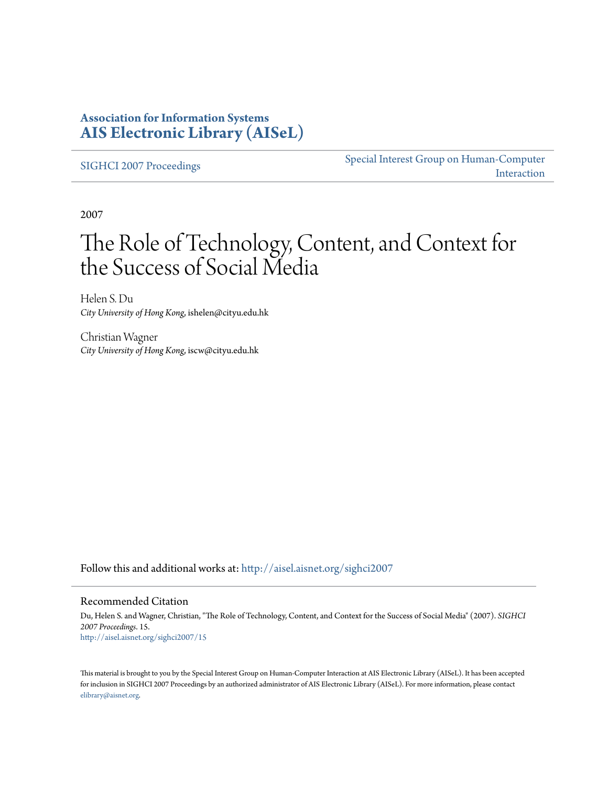### **Association for Information Systems [AIS Electronic Library \(AISeL\)](http://aisel.aisnet.org?utm_source=aisel.aisnet.org%2Fsighci2007%2F15&utm_medium=PDF&utm_campaign=PDFCoverPages)**

[SIGHCI 2007 Proceedings](http://aisel.aisnet.org/sighci2007?utm_source=aisel.aisnet.org%2Fsighci2007%2F15&utm_medium=PDF&utm_campaign=PDFCoverPages)

[Special Interest Group on Human-Computer](http://aisel.aisnet.org/sighci?utm_source=aisel.aisnet.org%2Fsighci2007%2F15&utm_medium=PDF&utm_campaign=PDFCoverPages) [Interaction](http://aisel.aisnet.org/sighci?utm_source=aisel.aisnet.org%2Fsighci2007%2F15&utm_medium=PDF&utm_campaign=PDFCoverPages)

2007

# The Role of Technology, Content, and Context for the Success of Social Media

Helen S. Du *City University of Hong Kong*, ishelen@cityu.edu.hk

Christian Wagner *City University of Hong Kong*, iscw@cityu.edu.hk

Follow this and additional works at: [http://aisel.aisnet.org/sighci2007](http://aisel.aisnet.org/sighci2007?utm_source=aisel.aisnet.org%2Fsighci2007%2F15&utm_medium=PDF&utm_campaign=PDFCoverPages)

#### Recommended Citation

Du, Helen S. and Wagner, Christian, "The Role of Technology, Content, and Context for the Success of Social Media" (2007). *SIGHCI 2007 Proceedings*. 15. [http://aisel.aisnet.org/sighci2007/15](http://aisel.aisnet.org/sighci2007/15?utm_source=aisel.aisnet.org%2Fsighci2007%2F15&utm_medium=PDF&utm_campaign=PDFCoverPages)

This material is brought to you by the Special Interest Group on Human-Computer Interaction at AIS Electronic Library (AISeL). It has been accepted for inclusion in SIGHCI 2007 Proceedings by an authorized administrator of AIS Electronic Library (AISeL). For more information, please contact [elibrary@aisnet.org.](mailto:elibrary@aisnet.org%3E)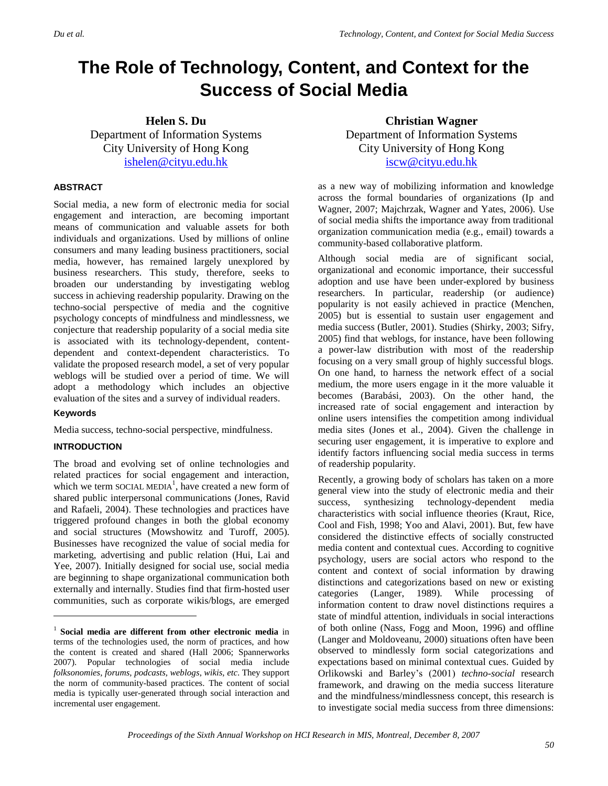## **The Role of Technology, Content, and Context for the Success of Social Media**

**Helen S. Du** Department of Information Systems City University of Hong Kong [ishelen@cityu.edu.hk](mailto:ishelen@cityu.edu.hk)

#### **ABSTRACT**

Social media, a new form of electronic media for social engagement and interaction, are becoming important means of communication and valuable assets for both individuals and organizations. Used by millions of online consumers and many leading business practitioners, social media, however, has remained largely unexplored by business researchers. This study, therefore, seeks to broaden our understanding by investigating weblog success in achieving readership popularity. Drawing on the techno-social perspective of media and the cognitive psychology concepts of mindfulness and mindlessness, we conjecture that readership popularity of a social media site is associated with its technology-dependent, contentdependent and context-dependent characteristics. To validate the proposed research model, a set of very popular weblogs will be studied over a period of time. We will adopt a methodology which includes an objective evaluation of the sites and a survey of individual readers.

#### **Keywords**

l

Media success, techno-social perspective, mindfulness.

#### **INTRODUCTION**

The broad and evolving set of online technologies and related practices for social engagement and interaction, which we term SOCIAL MEDIA<sup>1</sup>, have created a new form of shared public interpersonal communications (Jones, Ravid and Rafaeli, 2004). These technologies and practices have triggered profound changes in both the global economy and social structures (Mowshowitz and Turoff, 2005). Businesses have recognized the value of social media for marketing, advertising and public relation (Hui, Lai and Yee, 2007). Initially designed for social use, social media are beginning to shape organizational communication both externally and internally. Studies find that firm-hosted user communities, such as corporate wikis/blogs, are emerged

**Christian Wagner** Department of Information Systems City University of Hong Kong [iscw@cityu.edu.hk](mailto:iscw@cityu.edu.hk)

as a new way of mobilizing information and knowledge across the formal boundaries of organizations (Ip and Wagner, 2007; Majchrzak, Wagner and Yates, 2006). Use of social media shifts the importance away from traditional organization communication media (e.g., email) towards a community-based collaborative platform.

Although social media are of significant social, organizational and economic importance, their successful adoption and use have been under-explored by business researchers. In particular, readership (or audience) popularity is not easily achieved in practice (Menchen, 2005) but is essential to sustain user engagement and media success (Butler, 2001). Studies (Shirky, 2003; Sifry, 2005) find that weblogs, for instance, have been following a power-law distribution with most of the readership focusing on a very small group of highly successful blogs. On one hand, to harness the network effect of a social medium, the more users engage in it the more valuable it becomes (Barabási, 2003). On the other hand, the increased rate of social engagement and interaction by online users intensifies the competition among individual media sites (Jones et al., 2004). Given the challenge in securing user engagement, it is imperative to explore and identify factors influencing social media success in terms of readership popularity.

Recently, a growing body of scholars has taken on a more general view into the study of electronic media and their success, synthesizing technology-dependent media characteristics with social influence theories (Kraut, Rice, Cool and Fish, 1998; Yoo and Alavi, 2001). But, few have considered the distinctive effects of socially constructed media content and contextual cues. According to cognitive psychology, users are social actors who respond to the content and context of social information by drawing distinctions and categorizations based on new or existing categories (Langer, 1989). While processing of information content to draw novel distinctions requires a state of mindful attention, individuals in social interactions of both online (Nass, Fogg and Moon, 1996) and offline (Langer and Moldoveanu, 2000) situations often have been observed to mindlessly form social categorizations and expectations based on minimal contextual cues. Guided by Orlikowski and Barley's (2001) *techno-social* research framework, and drawing on the media success literature and the mindfulness/mindlessness concept, this research is to investigate social media success from three dimensions:

<sup>1</sup> **Social media are different from other electronic media** in terms of the technologies used, the norm of practices, and how the content is created and shared (Hall 2006; Spannerworks 2007). Popular technologies of social media include *folksonomies, forums, podcasts, weblogs*, *wikis*, *etc*. They support the norm of community-based practices. The content of social media is typically user-generated through social interaction and incremental user engagement.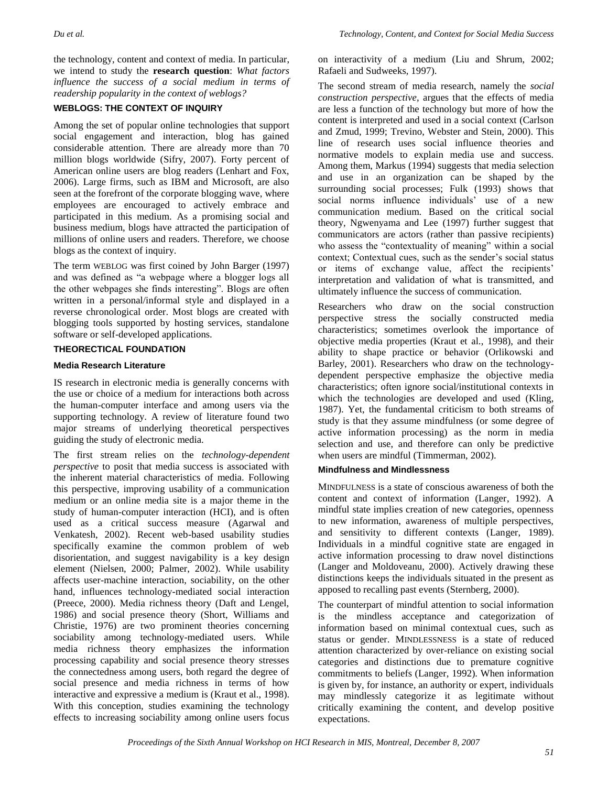the technology, content and context of media. In particular, we intend to study the **research question**: *What factors influence the success of a social medium in terms of readership popularity in the context of weblogs?*

#### **WEBLOGS: THE CONTEXT OF INQUIRY**

Among the set of popular online technologies that support social engagement and interaction, blog has gained considerable attention. There are already more than 70 million blogs worldwide (Sifry, 2007). Forty percent of American online users are blog readers (Lenhart and Fox, 2006). Large firms, such as IBM and Microsoft, are also seen at the forefront of the corporate blogging wave, where employees are encouraged to actively embrace and participated in this medium. As a promising social and business medium, blogs have attracted the participation of millions of online users and readers. Therefore, we choose blogs as the context of inquiry.

The term WEBLOG was first coined by John Barger (1997) and was defined as "a webpage where a blogger logs all the other webpages she finds interesting". Blogs are often written in a personal/informal style and displayed in a reverse chronological order. Most blogs are created with blogging tools supported by hosting services, standalone software or self-developed applications.

#### **THEORECTICAL FOUNDATION**

#### **Media Research Literature**

IS research in electronic media is generally concerns with the use or choice of a medium for interactions both across the human-computer interface and among users via the supporting technology. A review of literature found two major streams of underlying theoretical perspectives guiding the study of electronic media.

The first stream relies on the *technology-dependent perspective* to posit that media success is associated with the inherent material characteristics of media. Following this perspective, improving usability of a communication medium or an online media site is a major theme in the study of human-computer interaction (HCI), and is often used as a critical success measure (Agarwal and Venkatesh, 2002). Recent web-based usability studies specifically examine the common problem of web disorientation, and suggest navigability is a key design element (Nielsen, 2000; Palmer, 2002). While usability affects user-machine interaction, sociability, on the other hand, influences technology-mediated social interaction (Preece, 2000). Media richness theory (Daft and Lengel, 1986) and social presence theory (Short, Williams and Christie, 1976) are two prominent theories concerning sociability among technology-mediated users. While media richness theory emphasizes the information processing capability and social presence theory stresses the connectedness among users, both regard the degree of social presence and media richness in terms of how interactive and expressive a medium is (Kraut et al., 1998). With this conception, studies examining the technology effects to increasing sociability among online users focus

on interactivity of a medium (Liu and Shrum, 2002; Rafaeli and Sudweeks, 1997).

The second stream of media research, namely the *social construction perspective*, argues that the effects of media are less a function of the technology but more of how the content is interpreted and used in a social context (Carlson and Zmud, 1999; Trevino, Webster and Stein, 2000). This line of research uses social influence theories and normative models to explain media use and success. Among them, Markus (1994) suggests that media selection and use in an organization can be shaped by the surrounding social processes; Fulk (1993) shows that social norms influence individuals' use of a new communication medium. Based on the critical social theory, Ngwenyama and Lee (1997) further suggest that communicators are actors (rather than passive recipients) who assess the "contextuality of meaning" within a social context; Contextual cues, such as the sender's social status or items of exchange value, affect the recipients' interpretation and validation of what is transmitted, and ultimately influence the success of communication.

Researchers who draw on the social construction perspective stress the socially constructed media characteristics; sometimes overlook the importance of objective media properties (Kraut et al., 1998), and their ability to shape practice or behavior (Orlikowski and Barley, 2001). Researchers who draw on the technologydependent perspective emphasize the objective media characteristics; often ignore social/institutional contexts in which the technologies are developed and used (Kling, 1987). Yet, the fundamental criticism to both streams of study is that they assume mindfulness (or some degree of active information processing) as the norm in media selection and use, and therefore can only be predictive when users are mindful (Timmerman, 2002).

#### **Mindfulness and Mindlessness**

MINDFULNESS is a state of conscious awareness of both the content and context of information (Langer, 1992). A mindful state implies creation of new categories, openness to new information, awareness of multiple perspectives, and sensitivity to different contexts (Langer, 1989). Individuals in a mindful cognitive state are engaged in active information processing to draw novel distinctions (Langer and Moldoveanu, 2000). Actively drawing these distinctions keeps the individuals situated in the present as apposed to recalling past events (Sternberg, 2000).

The counterpart of mindful attention to social information is the mindless acceptance and categorization of information based on minimal contextual cues, such as status or gender. MINDLESSNESS is a state of reduced attention characterized by over-reliance on existing social categories and distinctions due to premature cognitive commitments to beliefs (Langer, 1992). When information is given by, for instance, an authority or expert, individuals may mindlessly categorize it as legitimate without critically examining the content, and develop positive expectations.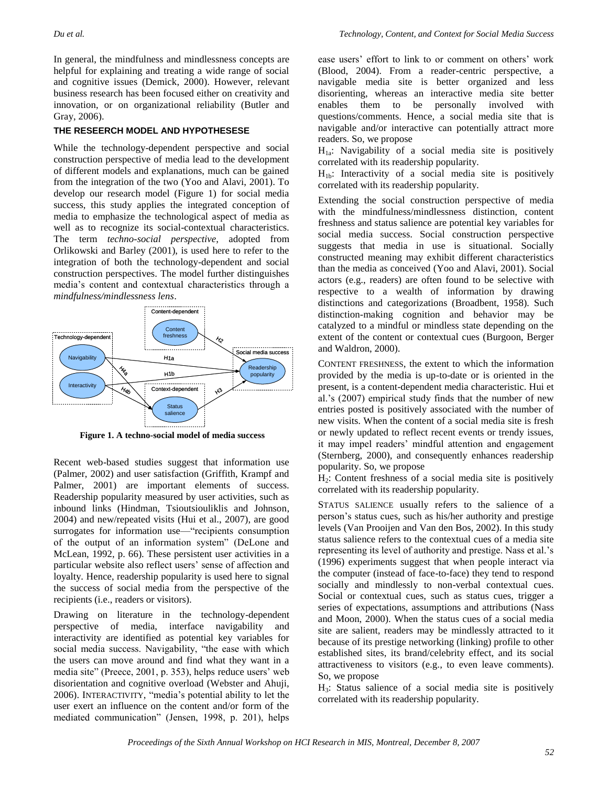In general, the mindfulness and mindlessness concepts are helpful for explaining and treating a wide range of social and cognitive issues (Demick, 2000). However, relevant business research has been focused either on creativity and innovation, or on organizational reliability (Butler and Gray, 2006).

#### **THE RESEERCH MODEL AND HYPOTHESESE**

While the technology-dependent perspective and social construction perspective of media lead to the development of different models and explanations, much can be gained from the integration of the two (Yoo and Alavi, 2001). To develop our research model (Figure 1) for social media success, this study applies the integrated conception of media to emphasize the technological aspect of media as well as to recognize its social-contextual characteristics. The term *techno-social perspective*, adopted from Orlikowski and Barley (2001), is used here to refer to the integration of both the technology-dependent and social construction perspectives. The model further distinguishes media's content and contextual characteristics through a *mindfulness/mindlessness lens*.



**Figure 1. A techno-social model of media success**

Recent web-based studies suggest that information use (Palmer, 2002) and user satisfaction (Griffith, Krampf and Palmer, 2001) are important elements of success. Readership popularity measured by user activities, such as inbound links (Hindman, Tsioutsiouliklis and Johnson, 2004) and new/repeated visits (Hui et al., 2007), are good surrogates for information use—"recipients consumption of the output of an information system" (DeLone and McLean, 1992, p. 66). These persistent user activities in a particular website also reflect users' sense of affection and loyalty. Hence, readership popularity is used here to signal the success of social media from the perspective of the recipients (i.e., readers or visitors).

Drawing on literature in the technology-dependent perspective of media, interface navigability and interactivity are identified as potential key variables for social media success. Navigability, "the ease with which the users can move around and find what they want in a media site" (Preece, 2001, p. 353), helps reduce users' web disorientation and cognitive overload (Webster and Ahuji, 2006). INTERACTIVITY, "media's potential ability to let the user exert an influence on the content and/or form of the mediated communication" (Jensen, 1998, p. 201), helps

ease users' effort to link to or comment on others' work (Blood, 2004). From a reader-centric perspective, a navigable media site is better organized and less disorienting, whereas an interactive media site better enables them to be personally involved with questions/comments. Hence, a social media site that is navigable and/or interactive can potentially attract more readers. So, we propose

 $H_{1a}$ : Navigability of a social media site is positively correlated with its readership popularity.

 $H_{1b}$ : Interactivity of a social media site is positively correlated with its readership popularity.

Extending the social construction perspective of media with the mindfulness/mindlessness distinction, content freshness and status salience are potential key variables for social media success. Social construction perspective suggests that media in use is situational. Socially constructed meaning may exhibit different characteristics than the media as conceived (Yoo and Alavi, 2001). Social actors (e.g., readers) are often found to be selective with respective to a wealth of information by drawing distinctions and categorizations (Broadbent, 1958). Such distinction-making cognition and behavior may be catalyzed to a mindful or mindless state depending on the extent of the content or contextual cues (Burgoon, Berger and Waldron, 2000).

CONTENT FRESHNESS, the extent to which the information provided by the media is up-to-date or is oriented in the present, is a content-dependent media characteristic. Hui et al.'s (2007) empirical study finds that the number of new entries posted is positively associated with the number of new visits. When the content of a social media site is fresh or newly updated to reflect recent events or trendy issues, it may impel readers' mindful attention and engagement (Sternberg, 2000), and consequently enhances readership popularity. So, we propose

H2: Content freshness of a social media site is positively correlated with its readership popularity.

STATUS SALIENCE usually refers to the salience of a person's status cues, such as his/her authority and prestige levels (Van Prooijen and Van den Bos, 2002). In this study status salience refers to the contextual cues of a media site representing its level of authority and prestige. Nass et al.'s (1996) experiments suggest that when people interact via the computer (instead of face-to-face) they tend to respond socially and mindlessly to non-verbal contextual cues. Social or contextual cues, such as status cues, trigger a series of expectations, assumptions and attributions (Nass and Moon, 2000). When the status cues of a social media site are salient, readers may be mindlessly attracted to it because of its prestige networking (linking) profile to other established sites, its brand/celebrity effect, and its social attractiveness to visitors (e.g., to even leave comments). So, we propose

H3: Status salience of a social media site is positively correlated with its readership popularity.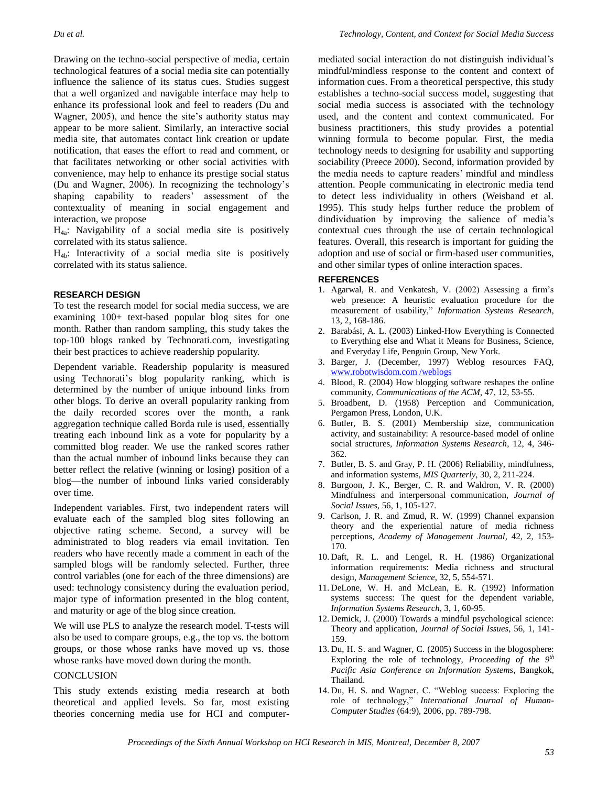Drawing on the techno-social perspective of media, certain technological features of a social media site can potentially influence the salience of its status cues. Studies suggest that a well organized and navigable interface may help to enhance its professional look and feel to readers (Du and Wagner, 2005), and hence the site's authority status may appear to be more salient. Similarly, an interactive social media site, that automates contact link creation or update notification, that eases the effort to read and comment, or that facilitates networking or other social activities with convenience, may help to enhance its prestige social status (Du and Wagner, 2006). In recognizing the technology's shaping capability to readers' assessment of the contextuality of meaning in social engagement and interaction, we propose

 $H_{4a}$ : Navigability of a social media site is positively correlated with its status salience.

 $H_{4b}$ : Interactivity of a social media site is positively correlated with its status salience.

#### **RESEARCH DESIGN**

To test the research model for social media success, we are examining 100+ text-based popular blog sites for one month. Rather than random sampling, this study takes the top-100 blogs ranked by Technorati.com, investigating their best practices to achieve readership popularity.

Dependent variable. Readership popularity is measured using Technorati's blog popularity ranking, which is determined by the number of unique inbound links from other blogs. To derive an overall popularity ranking from the daily recorded scores over the month, a rank aggregation technique called Borda rule is used, essentially treating each inbound link as a vote for popularity by a committed blog reader. We use the ranked scores rather than the actual number of inbound links because they can better reflect the relative (winning or losing) position of a blog––the number of inbound links varied considerably over time.

Independent variables. First, two independent raters will evaluate each of the sampled blog sites following an objective rating scheme. Second, a survey will be administrated to blog readers via email invitation. Ten readers who have recently made a comment in each of the sampled blogs will be randomly selected. Further, three control variables (one for each of the three dimensions) are used: technology consistency during the evaluation period, major type of information presented in the blog content, and maturity or age of the blog since creation.

We will use PLS to analyze the research model. T-tests will also be used to compare groups, e.g., the top vs. the bottom groups, or those whose ranks have moved up vs. those whose ranks have moved down during the month.

#### **CONCLUSION**

This study extends existing media research at both theoretical and applied levels. So far, most existing theories concerning media use for HCI and computer-

mediated social interaction do not distinguish individual's mindful/mindless response to the content and context of information cues. From a theoretical perspective, this study establishes a techno-social success model, suggesting that social media success is associated with the technology used, and the content and context communicated. For business practitioners, this study provides a potential winning formula to become popular. First, the media technology needs to designing for usability and supporting sociability (Preece 2000). Second, information provided by the media needs to capture readers' mindful and mindless attention. People communicating in electronic media tend to detect less individuality in others (Weisband et al. 1995). This study helps further reduce the problem of dindividuation by improving the salience of media's contextual cues through the use of certain technological features. Overall, this research is important for guiding the adoption and use of social or firm-based user communities, and other similar types of online interaction spaces.

#### **REFERENCES**

- 1. Agarwal, R. and Venkatesh, V. (2002) Assessing a firm's web presence: A heuristic evaluation procedure for the measurement of usability," *Information Systems Research*, 13, 2, 168-186.
- 2. Barabási, A. L. (2003) Linked-How Everything is Connected to Everything else and What it Means for Business, Science, and Everyday Life, Penguin Group, New York.
- 3. Barger, J. (December, 1997) Weblog resources FAQ, www.robotwisdom.com /weblogs
- 4. Blood, R. (2004) How blogging software reshapes the online community, *Communications of the ACM*, 47, 12, 53-55.
- 5. Broadbent, D. (1958) Perception and Communication, Pergamon Press, London, U.K.
- 6. Butler, B. S. (2001) Membership size, communication activity, and sustainability: A resource-based model of online social structures, *Information Systems Research*, 12, 4, 346- 362.
- 7. Butler, B. S. and Gray, P. H. (2006) Reliability, mindfulness, and information systems, *MIS Quarterly*, 30, 2, 211-224.
- 8. Burgoon, J. K., Berger, C. R. and Waldron, V. R. (2000) Mindfulness and interpersonal communication, *Journal of Social Issues*, 56, 1, 105-127.
- 9. Carlson, J. R. and Zmud, R. W. (1999) Channel expansion theory and the experiential nature of media richness perceptions, *Academy of Management Journal*, 42, 2, 153- 170.
- 10. Daft, R. L. and Lengel, R. H. (1986) Organizational information requirements: Media richness and structural design, *Management Science*, 32, 5, 554-571.
- 11. DeLone, W. H. and McLean, E. R. (1992) Information systems success: The quest for the dependent variable, *Information Systems Research*, 3, 1, 60-95.
- 12. Demick, J. (2000) Towards a mindful psychological science: Theory and application, *Journal of Social Issues*, 56, 1, 141- 159.
- 13. Du, H. S. and Wagner, C. (2005) Success in the blogosphere: Exploring the role of technology, *Proceeding of the 9th Pacific Asia Conference on Information Systems*, Bangkok, Thailand.
- 14. Du, H. S. and Wagner, C. "Weblog success: Exploring the role of technology," *International Journal of Human-Computer Studies* (64:9), 2006, pp. 789-798.